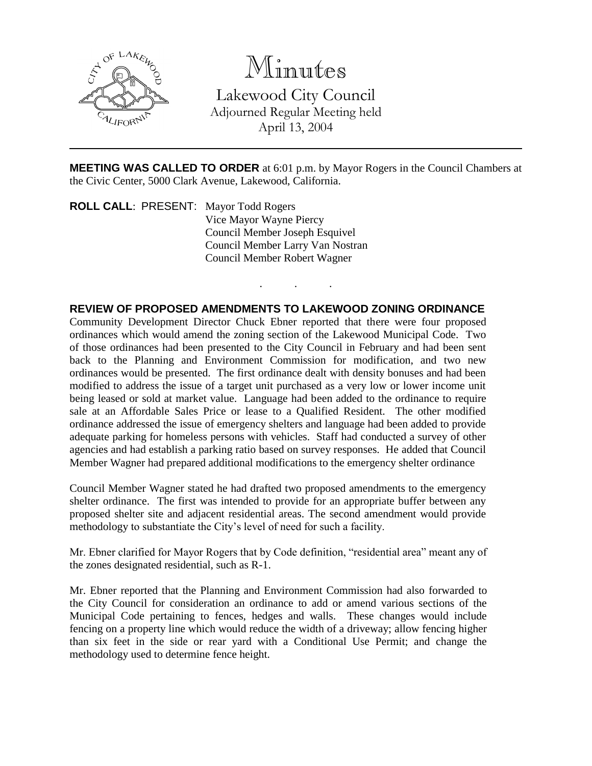

# Minutes

Lakewood City Council Adjourned Regular Meeting held April 13, 2004

**MEETING WAS CALLED TO ORDER** at 6:01 p.m. by Mayor Rogers in the Council Chambers at the Civic Center, 5000 Clark Avenue, Lakewood, California.

. . .

**ROLL CALL**: PRESENT: Mayor Todd Rogers Vice Mayor Wayne Piercy Council Member Joseph Esquivel Council Member Larry Van Nostran Council Member Robert Wagner

# **REVIEW OF PROPOSED AMENDMENTS TO LAKEWOOD ZONING ORDINANCE**

Community Development Director Chuck Ebner reported that there were four proposed ordinances which would amend the zoning section of the Lakewood Municipal Code. Two of those ordinances had been presented to the City Council in February and had been sent back to the Planning and Environment Commission for modification, and two new ordinances would be presented. The first ordinance dealt with density bonuses and had been modified to address the issue of a target unit purchased as a very low or lower income unit being leased or sold at market value. Language had been added to the ordinance to require sale at an Affordable Sales Price or lease to a Qualified Resident. The other modified ordinance addressed the issue of emergency shelters and language had been added to provide adequate parking for homeless persons with vehicles. Staff had conducted a survey of other agencies and had establish a parking ratio based on survey responses. He added that Council Member Wagner had prepared additional modifications to the emergency shelter ordinance

Council Member Wagner stated he had drafted two proposed amendments to the emergency shelter ordinance. The first was intended to provide for an appropriate buffer between any proposed shelter site and adjacent residential areas. The second amendment would provide methodology to substantiate the City's level of need for such a facility.

Mr. Ebner clarified for Mayor Rogers that by Code definition, "residential area" meant any of the zones designated residential, such as R-1.

Mr. Ebner reported that the Planning and Environment Commission had also forwarded to the City Council for consideration an ordinance to add or amend various sections of the Municipal Code pertaining to fences, hedges and walls. These changes would include fencing on a property line which would reduce the width of a driveway; allow fencing higher than six feet in the side or rear yard with a Conditional Use Permit; and change the methodology used to determine fence height.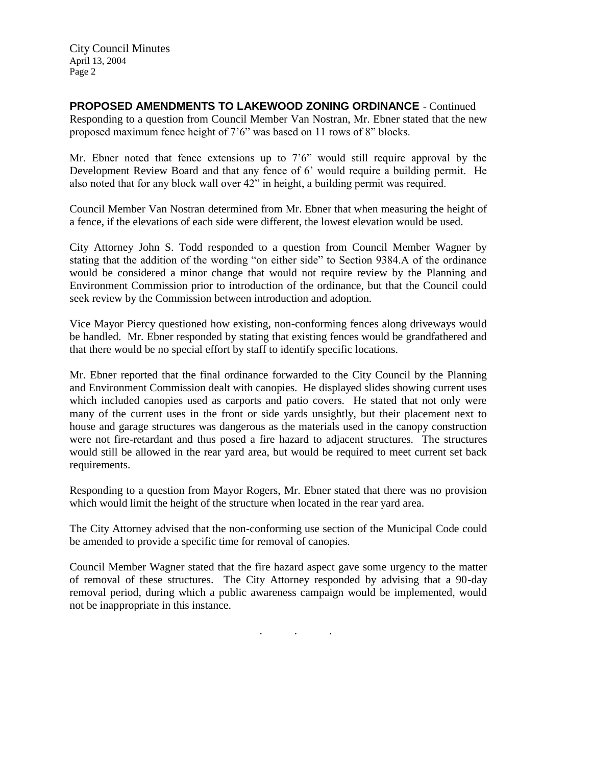City Council Minutes April 13, 2004 Page 2

**PROPOSED AMENDMENTS TO LAKEWOOD ZONING ORDINANCE** - Continued Responding to a question from Council Member Van Nostran, Mr. Ebner stated that the new proposed maximum fence height of 7'6" was based on 11 rows of 8" blocks.

Mr. Ebner noted that fence extensions up to 7'6" would still require approval by the Development Review Board and that any fence of 6' would require a building permit. He also noted that for any block wall over 42" in height, a building permit was required.

Council Member Van Nostran determined from Mr. Ebner that when measuring the height of a fence, if the elevations of each side were different, the lowest elevation would be used.

City Attorney John S. Todd responded to a question from Council Member Wagner by stating that the addition of the wording "on either side" to Section 9384.A of the ordinance would be considered a minor change that would not require review by the Planning and Environment Commission prior to introduction of the ordinance, but that the Council could seek review by the Commission between introduction and adoption.

Vice Mayor Piercy questioned how existing, non-conforming fences along driveways would be handled. Mr. Ebner responded by stating that existing fences would be grandfathered and that there would be no special effort by staff to identify specific locations.

Mr. Ebner reported that the final ordinance forwarded to the City Council by the Planning and Environment Commission dealt with canopies. He displayed slides showing current uses which included canopies used as carports and patio covers. He stated that not only were many of the current uses in the front or side yards unsightly, but their placement next to house and garage structures was dangerous as the materials used in the canopy construction were not fire-retardant and thus posed a fire hazard to adjacent structures. The structures would still be allowed in the rear yard area, but would be required to meet current set back requirements.

Responding to a question from Mayor Rogers, Mr. Ebner stated that there was no provision which would limit the height of the structure when located in the rear yard area.

The City Attorney advised that the non-conforming use section of the Municipal Code could be amended to provide a specific time for removal of canopies.

Council Member Wagner stated that the fire hazard aspect gave some urgency to the matter of removal of these structures. The City Attorney responded by advising that a 90-day removal period, during which a public awareness campaign would be implemented, would not be inappropriate in this instance.

. . .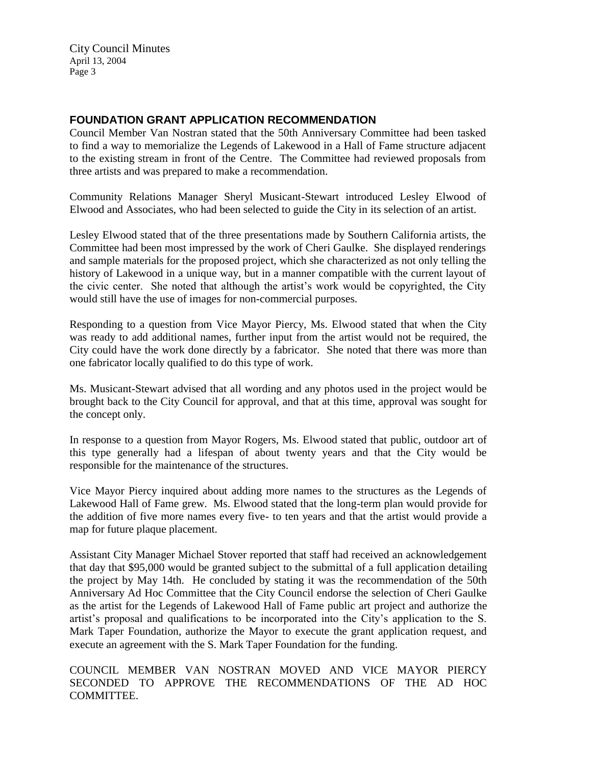City Council Minutes April 13, 2004 Page 3

# **FOUNDATION GRANT APPLICATION RECOMMENDATION**

Council Member Van Nostran stated that the 50th Anniversary Committee had been tasked to find a way to memorialize the Legends of Lakewood in a Hall of Fame structure adjacent to the existing stream in front of the Centre. The Committee had reviewed proposals from three artists and was prepared to make a recommendation.

Community Relations Manager Sheryl Musicant-Stewart introduced Lesley Elwood of Elwood and Associates, who had been selected to guide the City in its selection of an artist.

Lesley Elwood stated that of the three presentations made by Southern California artists, the Committee had been most impressed by the work of Cheri Gaulke. She displayed renderings and sample materials for the proposed project, which she characterized as not only telling the history of Lakewood in a unique way, but in a manner compatible with the current layout of the civic center. She noted that although the artist's work would be copyrighted, the City would still have the use of images for non-commercial purposes.

Responding to a question from Vice Mayor Piercy, Ms. Elwood stated that when the City was ready to add additional names, further input from the artist would not be required, the City could have the work done directly by a fabricator. She noted that there was more than one fabricator locally qualified to do this type of work.

Ms. Musicant-Stewart advised that all wording and any photos used in the project would be brought back to the City Council for approval, and that at this time, approval was sought for the concept only.

In response to a question from Mayor Rogers, Ms. Elwood stated that public, outdoor art of this type generally had a lifespan of about twenty years and that the City would be responsible for the maintenance of the structures.

Vice Mayor Piercy inquired about adding more names to the structures as the Legends of Lakewood Hall of Fame grew. Ms. Elwood stated that the long-term plan would provide for the addition of five more names every five- to ten years and that the artist would provide a map for future plaque placement.

Assistant City Manager Michael Stover reported that staff had received an acknowledgement that day that \$95,000 would be granted subject to the submittal of a full application detailing the project by May 14th. He concluded by stating it was the recommendation of the 50th Anniversary Ad Hoc Committee that the City Council endorse the selection of Cheri Gaulke as the artist for the Legends of Lakewood Hall of Fame public art project and authorize the artist's proposal and qualifications to be incorporated into the City's application to the S. Mark Taper Foundation, authorize the Mayor to execute the grant application request, and execute an agreement with the S. Mark Taper Foundation for the funding.

COUNCIL MEMBER VAN NOSTRAN MOVED AND VICE MAYOR PIERCY SECONDED TO APPROVE THE RECOMMENDATIONS OF THE AD HOC COMMITTEE.